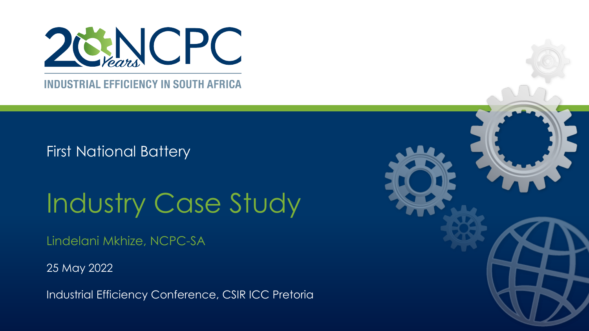

**INDUSTRIAL EFFICIENCY IN SOUTH AFRICA** 

First National Battery

# Industry Case Study

Lindelani Mkhize, NCPC-SA

25 May 2022

Industrial Efficiency Conference, CSIR ICC Pretoria

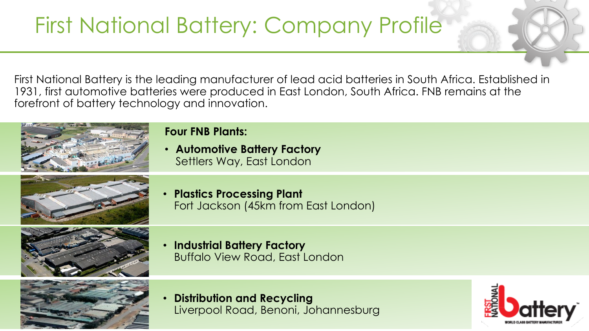# First National Battery: Company Profile

First National Battery is the leading manufacturer of lead acid batteries in South Africa. Established in 1931, first automotive batteries were produced in East London, South Africa. FNB remains at the forefront of battery technology and innovation.



#### **Four FNB Plants:**

• **Automotive Battery Factory** Settlers Way, East London



• **Plastics Processing Plant** Fort Jackson (45km from East London)



• **Industrial Battery Factory** Buffalo View Road, East London



• **Distribution and Recycling** Liverpool Road, Benoni, Johannesburg

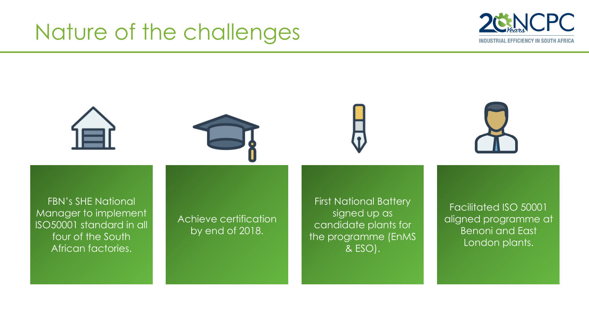## Nature of the challenges



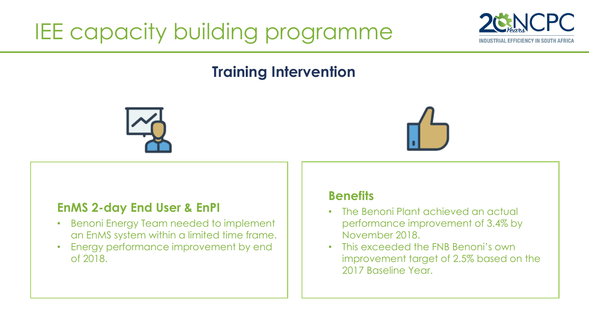# IEE capacity building programme



### **Training Intervention**





#### **EnMS 2-day End User & EnPI**

- Benoni Energy Team needed to implement an EnMS system within a limited time frame.
- Energy performance improvement by end of 2018.

#### **Benefits**

- The Benoni Plant achieved an actual performance improvement of 3.4% by November 2018.
- This exceeded the FNB Benoni's own improvement target of 2.5% based on the 2017 Baseline Year.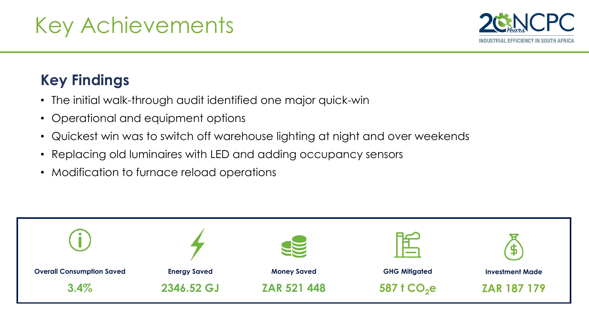

## **Key Findings**

- The initial walk-through audit identified one major quick-win
- Operational and equipment options
- Quickest win was to switch off warehouse lighting at night and over weekends
- Replacing old luminaires with LED and adding occupancy sensors
- Modification to furnace reload operations

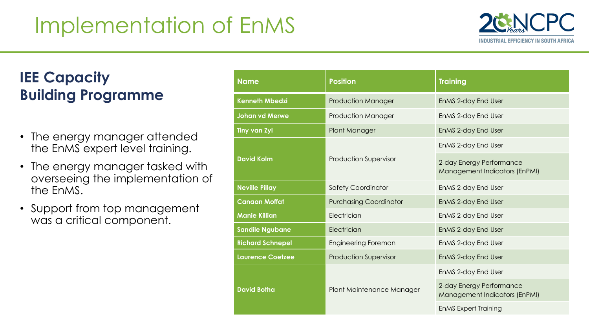# Implementation of EnMS



## **IEE Capacity Building Programme**

- The energy manager attended the EnMS expert level training.
- The energy manager tasked with overseeing the implementation of the EnMS.
- Support from top management was a critical component.

| <b>Name</b>             | <b>Position</b>               | <b>Training</b>                                                  |  |  |
|-------------------------|-------------------------------|------------------------------------------------------------------|--|--|
| <b>Kenneth Mbedzi</b>   | <b>Production Manager</b>     | EnMS 2-day End User                                              |  |  |
| <b>Johan vd Merwe</b>   | <b>Production Manager</b>     | EnMS 2-day End User                                              |  |  |
| <b>Tiny van Zyl</b>     | Plant Manager                 | EnMS 2-day End User                                              |  |  |
|                         |                               | EnMS 2-day End User                                              |  |  |
| <b>David Kolm</b>       | <b>Production Supervisor</b>  | 2-day Energy Performance<br><b>Management Indicators (EnPMI)</b> |  |  |
| <b>Neville Pillay</b>   | <b>Safety Coordinator</b>     | EnMS 2-day End User                                              |  |  |
| <b>Canaan Moffat</b>    | <b>Purchasing Coordinator</b> | EnMS 2-day End User                                              |  |  |
| <b>Manie Killian</b>    | Electrician                   | EnMS 2-day End User                                              |  |  |
| <b>Sandile Ngubane</b>  | Electrician                   | EnMS 2-day End User                                              |  |  |
| <b>Richard Schnepel</b> | <b>Engineering Foreman</b>    | EnMS 2-day End User                                              |  |  |
| <b>Laurence Coetzee</b> | <b>Production Supervisor</b>  | EnMS 2-day End User                                              |  |  |
|                         |                               | EnMS 2-day End User                                              |  |  |
| <b>David Botha</b>      | Plant Maintenance Manager     | 2-day Energy Performance<br>Management Indicators (EnPMI)        |  |  |
|                         |                               | <b>EnMS Expert Training</b>                                      |  |  |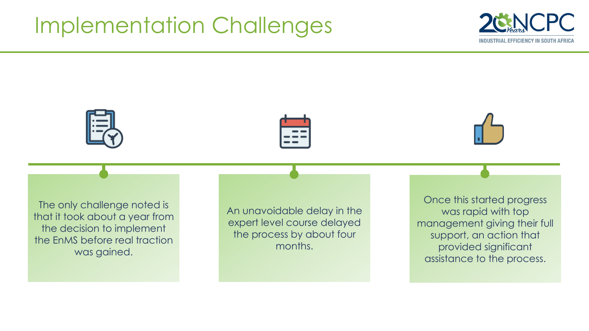## Implementation Challenges









The only challenge noted is that it took about a year from the decision to implement the EnMS before real traction was gained.

An unavoidable delay in the expert level course delayed the process by about four months.

Once this started progress was rapid with top management giving their full support, an action that provided significant assistance to the process.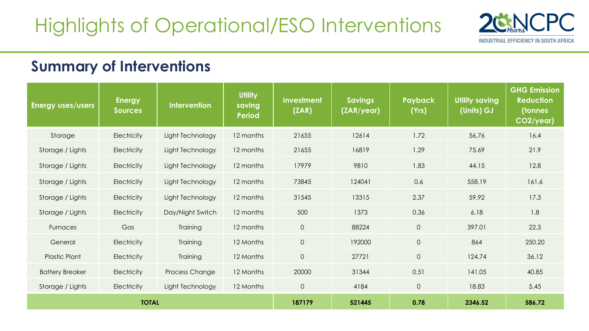

#### **Summary of Interventions**

| <b>Energy uses/users</b> | <b>Energy</b><br><b>Sources</b> | <b>Intervention</b>   | <b>Utility</b><br>saving<br><b>Period</b> | <b>Investment</b><br>(ZAR) | <b>Savings</b><br>(ZAR/year) | <b>Payback</b><br>(Yrs) | <b>Utility saving</b><br>(Units) GJ | <b>GHG Emission</b><br><b>Reduction</b><br>(tonnes<br>CO2/year) |
|--------------------------|---------------------------------|-----------------------|-------------------------------------------|----------------------------|------------------------------|-------------------------|-------------------------------------|-----------------------------------------------------------------|
| Storage                  | <b>Electricity</b>              | Light Technology      | 12 months                                 | 21655                      | 12614                        | 1.72                    | 56.76                               | 16.4                                                            |
| Storage / Lights         | <b>Electricity</b>              | Light Technology      | 12 months                                 | 21655                      | 16819                        | 1.29                    | 75.69                               | 21.9                                                            |
| Storage / Lights         | <b>Electricity</b>              | Light Technology      | 12 months                                 | 17979                      | 9810                         | 1.83                    | 44.15                               | 12.8                                                            |
| Storage / Lights         | Electricity                     | Light Technology      | 12 months                                 | 73845                      | 124041                       | 0.6                     | 558.19                              | 161.6                                                           |
| Storage / Lights         | <b>Electricity</b>              | Light Technology      | 12 months                                 | 31545                      | 13315                        | 2.37                    | 59.92                               | 17.3                                                            |
| Storage / Lights         | Electricity                     | Day/Night Switch      | 12 months                                 | 500                        | 1373                         | 0.36                    | 6.18                                | 1.8                                                             |
| Furnaces                 | Gas                             | Training              | 12 months                                 | $\overline{0}$             | 88224                        | $\overline{O}$          | 397.01                              | 22.3                                                            |
| General                  | Electricity                     | Training              | 12 Months                                 | $\overline{O}$             | 192000                       | $\circ$                 | 864                                 | 250.20                                                          |
| <b>Plastic Plant</b>     | Electricity                     | Training              | 12 Months                                 | $\circ$                    | 27721                        | $\overline{O}$          | 124.74                              | 36.12                                                           |
| <b>Battery Breaker</b>   | <b>Electricity</b>              | <b>Process Change</b> | 12 Months                                 | 20000                      | 31344                        | 0.51                    | 141.05                              | 40.85                                                           |
| Storage / Lights         | <b>Electricity</b>              | Light Technology      | 12 Months                                 | $\circ$                    | 4184                         | $\overline{O}$          | 18.83                               | 5.45                                                            |
| <b>TOTAL</b>             |                                 |                       | 187179                                    | 521445                     | 0.78                         | 2346.52                 | 586.72                              |                                                                 |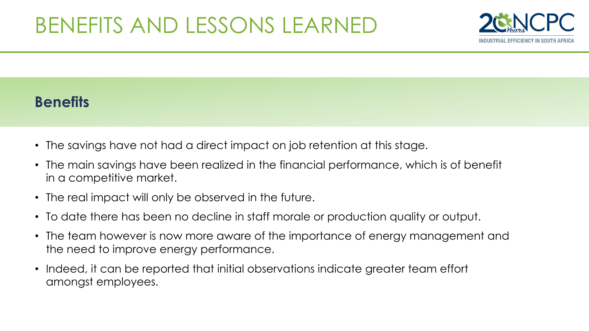

### **Benefits**

- The savings have not had a direct impact on job retention at this stage.
- The main savings have been realized in the financial performance, which is of benefit in a competitive market.
- The real impact will only be observed in the future.
- To date there has been no decline in staff morale or production quality or output.
- The team however is now more aware of the importance of energy management and the need to improve energy performance.
- Indeed, it can be reported that initial observations indicate greater team effort amongst employees.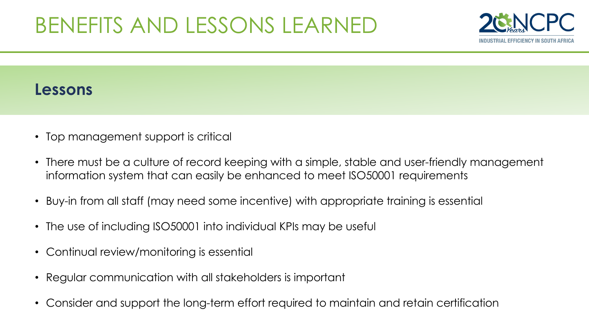## BENEFITS AND LESSONS LEARNED



### **Lessons**

- Top management support is critical
- There must be a culture of record keeping with a simple, stable and user-friendly management information system that can easily be enhanced to meet ISO50001 requirements
- Buy-in from all staff (may need some incentive) with appropriate training is essential
- The use of including ISO50001 into individual KPIs may be useful
- Continual review/monitoring is essential
- Regular communication with all stakeholders is important
- Consider and support the long-term effort required to maintain and retain certification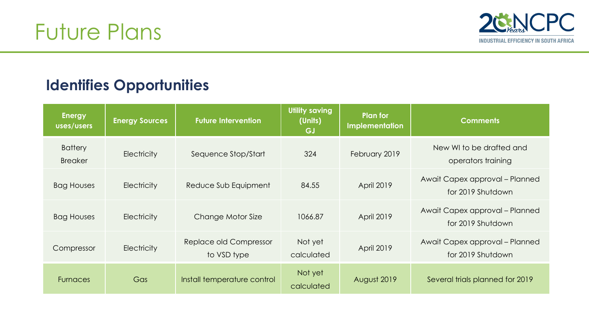

### **Identifies Opportunities**

| <b>Energy</b><br>uses/users      | <b>Energy Sources</b> | <b>Future Intervention</b>            | Utility saving<br>(Units)<br>GJ | Plan for<br>Implementation | <b>Comments</b>                                     |
|----------------------------------|-----------------------|---------------------------------------|---------------------------------|----------------------------|-----------------------------------------------------|
| <b>Battery</b><br><b>Breaker</b> | Electricity           | Sequence Stop/Start                   | 324                             | February 2019              | New WI to be drafted and<br>operators training      |
| <b>Bag Houses</b>                | <b>Electricity</b>    | Reduce Sub Equipment                  | 84.55                           | <b>April 2019</b>          | Await Capex approval - Planned<br>for 2019 Shutdown |
| <b>Bag Houses</b>                | <b>Electricity</b>    | Change Motor Size                     | 1066.87                         | <b>April 2019</b>          | Await Capex approval - Planned<br>for 2019 Shutdown |
| Compressor                       | <b>Electricity</b>    | Replace old Compressor<br>to VSD type | Not yet<br>calculated           | <b>April 2019</b>          | Await Capex approval - Planned<br>for 2019 Shutdown |
| <b>Furnaces</b>                  | Gas                   | Install temperature control           | Not yet<br>calculated           | August 2019                | Several trials planned for 2019                     |